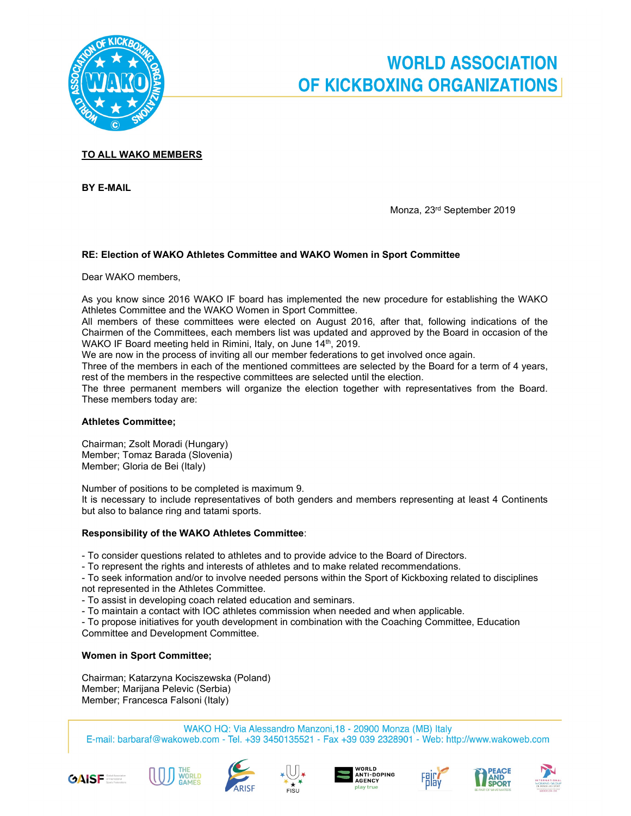

# **WORLD ASSOCIATION** OF KICKBOXING ORGANIZATIONS

### TO ALL WAKO MEMBERS

BY E-MAIL

Monza, 23rd September 2019

#### RE: Election of WAKO Athletes Committee and WAKO Women in Sport Committee

Dear WAKO members,

As you know since 2016 WAKO IF board has implemented the new procedure for establishing the WAKO Athletes Committee and the WAKO Women in Sport Committee.

All members of these committees were elected on August 2016, after that, following indications of the Chairmen of the Committees, each members list was updated and approved by the Board in occasion of the WAKO IF Board meeting held in Rimini, Italy, on June 14th, 2019.

We are now in the process of inviting all our member federations to get involved once again.

Three of the members in each of the mentioned committees are selected by the Board for a term of 4 years, rest of the members in the respective committees are selected until the election.

The three permanent members will organize the election together with representatives from the Board. These members today are:

#### Athletes Committee;

Chairman; Zsolt Moradi (Hungary) Member; Tomaz Barada (Slovenia) Member; Gloria de Bei (Italy)

Number of positions to be completed is maximum 9.

It is necessary to include representatives of both genders and members representing at least 4 Continents but also to balance ring and tatami sports.

#### Responsibility of the WAKO Athletes Committee:

- To consider questions related to athletes and to provide advice to the Board of Directors.

- To represent the rights and interests of athletes and to make related recommendations.

- To seek information and/or to involve needed persons within the Sport of Kickboxing related to disciplines not represented in the Athletes Committee.

- To assist in developing coach related education and seminars.

- To maintain a contact with IOC athletes commission when needed and when applicable.

- To propose initiatives for youth development in combination with the Coaching Committee, Education Committee and Development Committee.

#### Women in Sport Committee;

Chairman; Katarzyna Kociszewska (Poland) Member; Marijana Pelevic (Serbia) Member; Francesca Falsoni (Italy)

WAKO HQ: Via Alessandro Manzoni, 18 - 20900 Monza (MB) Italy E-mail: barbaraf@wakoweb.com - Tel. +39 3450135521 - Fax +39 039 2328901 - Web: http://www.wakoweb.com